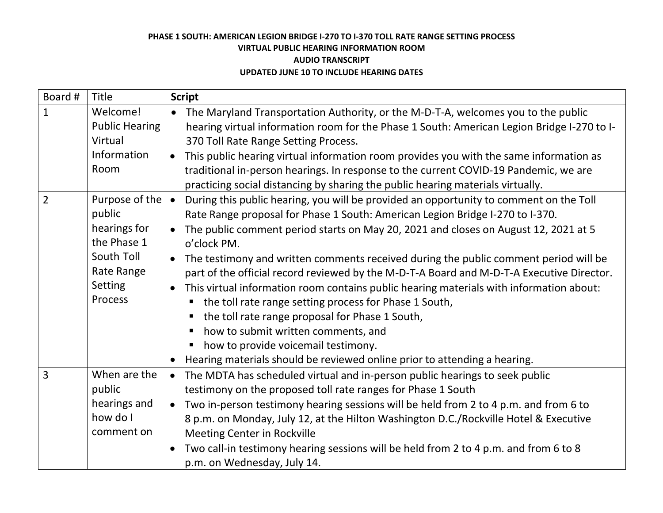| Board #        | Title                                                                                                     | <b>Script</b>                                                                                                                                                                                                                                                                                                                                                                                                                                                                                                                                                                                                                                                                                                                                                                                                                                                                                                              |
|----------------|-----------------------------------------------------------------------------------------------------------|----------------------------------------------------------------------------------------------------------------------------------------------------------------------------------------------------------------------------------------------------------------------------------------------------------------------------------------------------------------------------------------------------------------------------------------------------------------------------------------------------------------------------------------------------------------------------------------------------------------------------------------------------------------------------------------------------------------------------------------------------------------------------------------------------------------------------------------------------------------------------------------------------------------------------|
| $\mathbf{1}$   | Welcome!<br><b>Public Hearing</b><br>Virtual<br>Information<br>Room                                       | The Maryland Transportation Authority, or the M-D-T-A, welcomes you to the public<br>hearing virtual information room for the Phase 1 South: American Legion Bridge I-270 to I-<br>370 Toll Rate Range Setting Process.<br>This public hearing virtual information room provides you with the same information as<br>traditional in-person hearings. In response to the current COVID-19 Pandemic, we are<br>practicing social distancing by sharing the public hearing materials virtually.                                                                                                                                                                                                                                                                                                                                                                                                                               |
| $\overline{2}$ | Purpose of the<br>public<br>hearings for<br>the Phase 1<br>South Toll<br>Rate Range<br>Setting<br>Process | During this public hearing, you will be provided an opportunity to comment on the Toll<br>$\bullet$<br>Rate Range proposal for Phase 1 South: American Legion Bridge I-270 to I-370.<br>The public comment period starts on May 20, 2021 and closes on August 12, 2021 at 5<br>o'clock PM.<br>The testimony and written comments received during the public comment period will be<br>$\bullet$<br>part of the official record reviewed by the M-D-T-A Board and M-D-T-A Executive Director.<br>This virtual information room contains public hearing materials with information about:<br>the toll rate range setting process for Phase 1 South,<br>$\blacksquare$<br>the toll rate range proposal for Phase 1 South,<br>п<br>how to submit written comments, and<br>$\blacksquare$<br>how to provide voicemail testimony.<br>$\blacksquare$<br>Hearing materials should be reviewed online prior to attending a hearing. |
| $\overline{3}$ | When are the<br>public<br>hearings and<br>how do I<br>comment on                                          | The MDTA has scheduled virtual and in-person public hearings to seek public<br>$\bullet$<br>testimony on the proposed toll rate ranges for Phase 1 South<br>Two in-person testimony hearing sessions will be held from 2 to 4 p.m. and from 6 to<br>8 p.m. on Monday, July 12, at the Hilton Washington D.C./Rockville Hotel & Executive<br><b>Meeting Center in Rockville</b><br>Two call-in testimony hearing sessions will be held from 2 to 4 p.m. and from 6 to 8<br>p.m. on Wednesday, July 14.                                                                                                                                                                                                                                                                                                                                                                                                                      |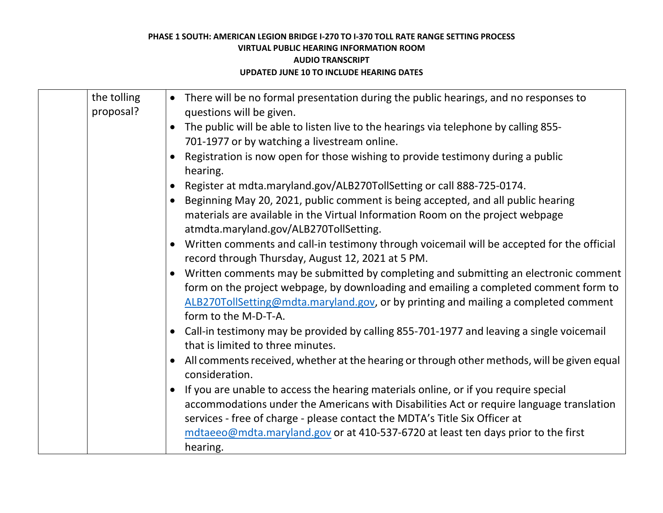| the tolling<br>proposal? | • There will be no formal presentation during the public hearings, and no responses to<br>questions will be given.                                                                                                                                                                                                                                             |
|--------------------------|----------------------------------------------------------------------------------------------------------------------------------------------------------------------------------------------------------------------------------------------------------------------------------------------------------------------------------------------------------------|
|                          | The public will be able to listen live to the hearings via telephone by calling 855-<br>701-1977 or by watching a livestream online.                                                                                                                                                                                                                           |
|                          | Registration is now open for those wishing to provide testimony during a public<br>hearing.                                                                                                                                                                                                                                                                    |
|                          | Register at mdta.maryland.gov/ALB270TollSetting or call 888-725-0174.                                                                                                                                                                                                                                                                                          |
|                          | Beginning May 20, 2021, public comment is being accepted, and all public hearing<br>materials are available in the Virtual Information Room on the project webpage<br>atmdta.maryland.gov/ALB270TollSetting.                                                                                                                                                   |
|                          | Written comments and call-in testimony through voicemail will be accepted for the official<br>$\bullet$<br>record through Thursday, August 12, 2021 at 5 PM.                                                                                                                                                                                                   |
|                          | Written comments may be submitted by completing and submitting an electronic comment<br>form on the project webpage, by downloading and emailing a completed comment form to<br>ALB270TollSetting@mdta.maryland.gov, or by printing and mailing a completed comment<br>form to the M-D-T-A.                                                                    |
|                          | Call-in testimony may be provided by calling 855-701-1977 and leaving a single voicemail<br>$\bullet$<br>that is limited to three minutes.                                                                                                                                                                                                                     |
|                          | All comments received, whether at the hearing or through other methods, will be given equal<br>consideration.                                                                                                                                                                                                                                                  |
|                          | If you are unable to access the hearing materials online, or if you require special<br>accommodations under the Americans with Disabilities Act or require language translation<br>services - free of charge - please contact the MDTA's Title Six Officer at<br>mdtaeeo@mdta.maryland.gov or at 410-537-6720 at least ten days prior to the first<br>hearing. |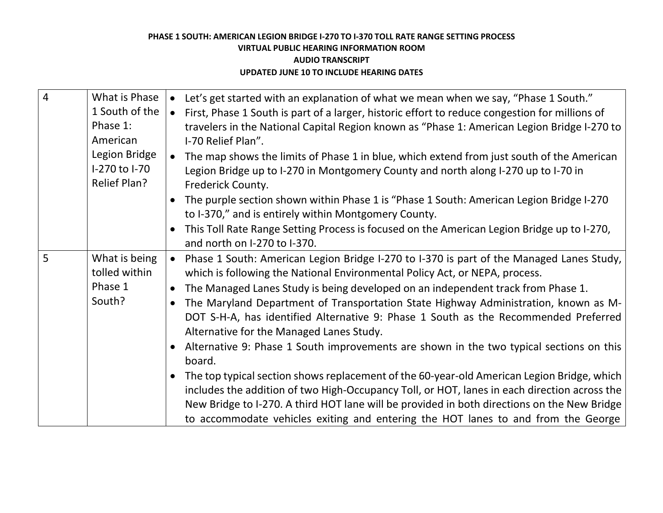| $\overline{4}$ | What is Phase       | Let's get started with an explanation of what we mean when we say, "Phase 1 South."                         |
|----------------|---------------------|-------------------------------------------------------------------------------------------------------------|
|                | 1 South of the      | First, Phase 1 South is part of a larger, historic effort to reduce congestion for millions of<br>$\bullet$ |
|                | Phase 1:            | travelers in the National Capital Region known as "Phase 1: American Legion Bridge I-270 to                 |
|                | American            | I-70 Relief Plan".                                                                                          |
|                | Legion Bridge       | The map shows the limits of Phase 1 in blue, which extend from just south of the American<br>$\bullet$      |
|                | I-270 to I-70       | Legion Bridge up to I-270 in Montgomery County and north along I-270 up to I-70 in                          |
|                | <b>Relief Plan?</b> | Frederick County.                                                                                           |
|                |                     | The purple section shown within Phase 1 is "Phase 1 South: American Legion Bridge I-270                     |
|                |                     | to I-370," and is entirely within Montgomery County.                                                        |
|                |                     | This Toll Rate Range Setting Process is focused on the American Legion Bridge up to I-270,                  |
|                |                     | and north on I-270 to I-370.                                                                                |
| 5 <sup>5</sup> | What is being       | Phase 1 South: American Legion Bridge I-270 to I-370 is part of the Managed Lanes Study,<br>$\bullet$       |
|                | tolled within       | which is following the National Environmental Policy Act, or NEPA, process.                                 |
|                | Phase 1             | The Managed Lanes Study is being developed on an independent track from Phase 1.<br>$\bullet$               |
|                | South?              | The Maryland Department of Transportation State Highway Administration, known as M-                         |
|                |                     | DOT S-H-A, has identified Alternative 9: Phase 1 South as the Recommended Preferred                         |
|                |                     | Alternative for the Managed Lanes Study.                                                                    |
|                |                     | Alternative 9: Phase 1 South improvements are shown in the two typical sections on this                     |
|                |                     | board.                                                                                                      |
|                |                     | The top typical section shows replacement of the 60-year-old American Legion Bridge, which<br>$\bullet$     |
|                |                     | includes the addition of two High-Occupancy Toll, or HOT, lanes in each direction across the                |
|                |                     | New Bridge to I-270. A third HOT lane will be provided in both directions on the New Bridge                 |
|                |                     | to accommodate vehicles exiting and entering the HOT lanes to and from the George                           |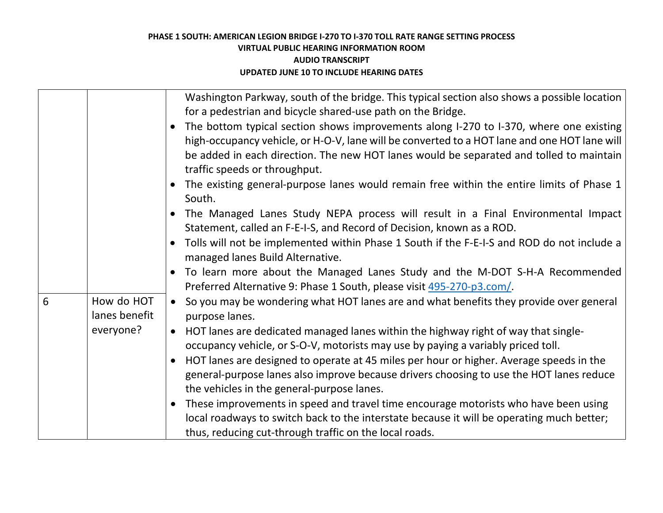|   |                             | Washington Parkway, south of the bridge. This typical section also shows a possible location<br>for a pedestrian and bicycle shared-use path on the Bridge.                                                                                                                                                        |
|---|-----------------------------|--------------------------------------------------------------------------------------------------------------------------------------------------------------------------------------------------------------------------------------------------------------------------------------------------------------------|
|   |                             | The bottom typical section shows improvements along I-270 to I-370, where one existing<br>high-occupancy vehicle, or H-O-V, lane will be converted to a HOT lane and one HOT lane will<br>be added in each direction. The new HOT lanes would be separated and tolled to maintain<br>traffic speeds or throughput. |
|   |                             | The existing general-purpose lanes would remain free within the entire limits of Phase 1<br>South.                                                                                                                                                                                                                 |
|   |                             | The Managed Lanes Study NEPA process will result in a Final Environmental Impact<br>Statement, called an F-E-I-S, and Record of Decision, known as a ROD.                                                                                                                                                          |
|   |                             | Tolls will not be implemented within Phase 1 South if the F-E-I-S and ROD do not include a<br>managed lanes Build Alternative.                                                                                                                                                                                     |
|   |                             | To learn more about the Managed Lanes Study and the M-DOT S-H-A Recommended<br>Preferred Alternative 9: Phase 1 South, please visit 495-270-p3.com/.                                                                                                                                                               |
| 6 | How do HOT<br>lanes benefit | So you may be wondering what HOT lanes are and what benefits they provide over general<br>$\bullet$<br>purpose lanes.                                                                                                                                                                                              |
|   | everyone?                   | HOT lanes are dedicated managed lanes within the highway right of way that single-<br>$\bullet$<br>occupancy vehicle, or S-O-V, motorists may use by paying a variably priced toll.                                                                                                                                |
|   |                             | HOT lanes are designed to operate at 45 miles per hour or higher. Average speeds in the<br>general-purpose lanes also improve because drivers choosing to use the HOT lanes reduce<br>the vehicles in the general-purpose lanes.                                                                                   |
|   |                             | These improvements in speed and travel time encourage motorists who have been using<br>local roadways to switch back to the interstate because it will be operating much better;<br>thus, reducing cut-through traffic on the local roads.                                                                         |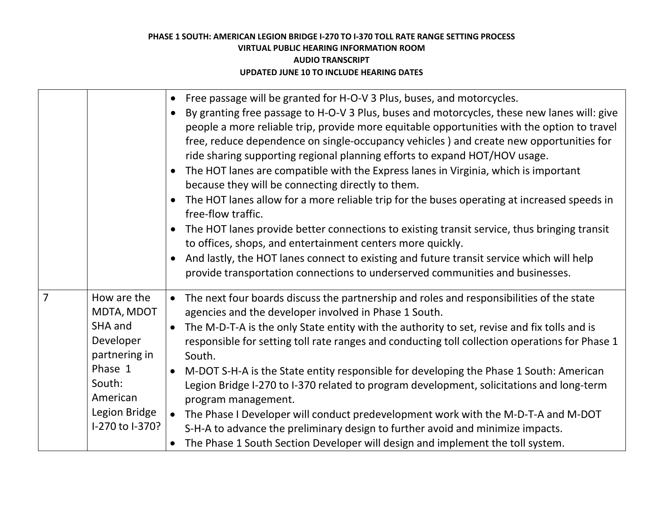|                |                                                                                                                                         | Free passage will be granted for H-O-V 3 Plus, buses, and motorcycles.<br>By granting free passage to H-O-V 3 Plus, buses and motorcycles, these new lanes will: give<br>people a more reliable trip, provide more equitable opportunities with the option to travel<br>free, reduce dependence on single-occupancy vehicles) and create new opportunities for<br>ride sharing supporting regional planning efforts to expand HOT/HOV usage.<br>The HOT lanes are compatible with the Express lanes in Virginia, which is important<br>because they will be connecting directly to them.<br>The HOT lanes allow for a more reliable trip for the buses operating at increased speeds in<br>free-flow traffic.<br>The HOT lanes provide better connections to existing transit service, thus bringing transit<br>to offices, shops, and entertainment centers more quickly.<br>And lastly, the HOT lanes connect to existing and future transit service which will help<br>provide transportation connections to underserved communities and businesses. |
|----------------|-----------------------------------------------------------------------------------------------------------------------------------------|---------------------------------------------------------------------------------------------------------------------------------------------------------------------------------------------------------------------------------------------------------------------------------------------------------------------------------------------------------------------------------------------------------------------------------------------------------------------------------------------------------------------------------------------------------------------------------------------------------------------------------------------------------------------------------------------------------------------------------------------------------------------------------------------------------------------------------------------------------------------------------------------------------------------------------------------------------------------------------------------------------------------------------------------------------|
| $\overline{7}$ | How are the<br>MDTA, MDOT<br>SHA and<br>Developer<br>partnering in<br>Phase 1<br>South:<br>American<br>Legion Bridge<br>I-270 to I-370? | • The next four boards discuss the partnership and roles and responsibilities of the state<br>agencies and the developer involved in Phase 1 South.<br>The M-D-T-A is the only State entity with the authority to set, revise and fix tolls and is<br>responsible for setting toll rate ranges and conducting toll collection operations for Phase 1<br>South.<br>M-DOT S-H-A is the State entity responsible for developing the Phase 1 South: American<br>Legion Bridge I-270 to I-370 related to program development, solicitations and long-term<br>program management.<br>The Phase I Developer will conduct predevelopment work with the M-D-T-A and M-DOT<br>S-H-A to advance the preliminary design to further avoid and minimize impacts.<br>The Phase 1 South Section Developer will design and implement the toll system.                                                                                                                                                                                                                    |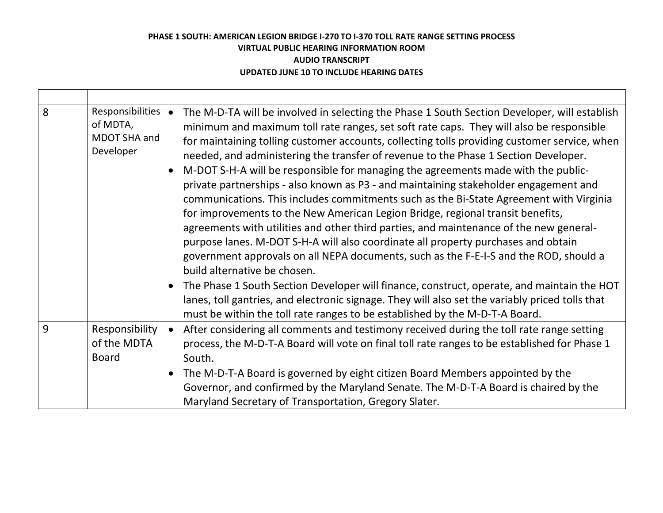| 8 | <b>Responsibilities</b><br>of MDTA,<br>MDOT SHA and<br>Developer | The M-D-TA will be involved in selecting the Phase 1 South Section Developer, will establish<br>minimum and maximum toll rate ranges, set soft rate caps. They will also be responsible<br>for maintaining tolling customer accounts, collecting tolls providing customer service, when<br>needed, and administering the transfer of revenue to the Phase 1 Section Developer.<br>M-DOT S-H-A will be responsible for managing the agreements made with the public-<br>private partnerships - also known as P3 - and maintaining stakeholder engagement and<br>communications. This includes commitments such as the Bi-State Agreement with Virginia<br>for improvements to the New American Legion Bridge, regional transit benefits,<br>agreements with utilities and other third parties, and maintenance of the new general-<br>purpose lanes. M-DOT S-H-A will also coordinate all property purchases and obtain<br>government approvals on all NEPA documents, such as the F-E-I-S and the ROD, should a<br>build alternative be chosen.<br>The Phase 1 South Section Developer will finance, construct, operate, and maintain the HOT<br>lanes, toll gantries, and electronic signage. They will also set the variably priced tolls that<br>must be within the toll rate ranges to be established by the M-D-T-A Board. |
|---|------------------------------------------------------------------|---------------------------------------------------------------------------------------------------------------------------------------------------------------------------------------------------------------------------------------------------------------------------------------------------------------------------------------------------------------------------------------------------------------------------------------------------------------------------------------------------------------------------------------------------------------------------------------------------------------------------------------------------------------------------------------------------------------------------------------------------------------------------------------------------------------------------------------------------------------------------------------------------------------------------------------------------------------------------------------------------------------------------------------------------------------------------------------------------------------------------------------------------------------------------------------------------------------------------------------------------------------------------------------------------------------------------------|
| 9 | Responsibility<br>of the MDTA<br><b>Board</b>                    | After considering all comments and testimony received during the toll rate range setting<br>$\bullet$<br>process, the M-D-T-A Board will vote on final toll rate ranges to be established for Phase 1<br>South.                                                                                                                                                                                                                                                                                                                                                                                                                                                                                                                                                                                                                                                                                                                                                                                                                                                                                                                                                                                                                                                                                                                 |
|   |                                                                  | The M-D-T-A Board is governed by eight citizen Board Members appointed by the<br>Governor, and confirmed by the Maryland Senate. The M-D-T-A Board is chaired by the<br>Maryland Secretary of Transportation, Gregory Slater.                                                                                                                                                                                                                                                                                                                                                                                                                                                                                                                                                                                                                                                                                                                                                                                                                                                                                                                                                                                                                                                                                                   |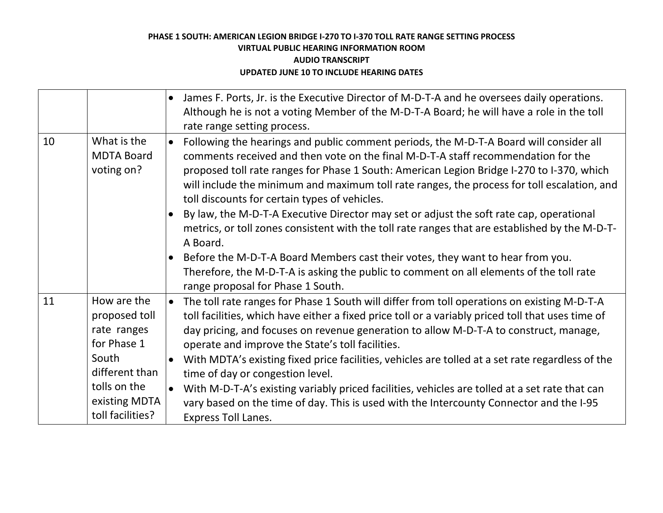|    |                                                            | James F. Ports, Jr. is the Executive Director of M-D-T-A and he oversees daily operations.<br>$\bullet$<br>Although he is not a voting Member of the M-D-T-A Board; he will have a role in the toll<br>rate range setting process.                                                                                                                                                                                                    |
|----|------------------------------------------------------------|---------------------------------------------------------------------------------------------------------------------------------------------------------------------------------------------------------------------------------------------------------------------------------------------------------------------------------------------------------------------------------------------------------------------------------------|
| 10 | What is the<br><b>MDTA Board</b><br>voting on?             | Following the hearings and public comment periods, the M-D-T-A Board will consider all<br>$\bullet$<br>comments received and then vote on the final M-D-T-A staff recommendation for the<br>proposed toll rate ranges for Phase 1 South: American Legion Bridge I-270 to I-370, which<br>will include the minimum and maximum toll rate ranges, the process for toll escalation, and<br>toll discounts for certain types of vehicles. |
|    |                                                            | By law, the M-D-T-A Executive Director may set or adjust the soft rate cap, operational<br>metrics, or toll zones consistent with the toll rate ranges that are established by the M-D-T-<br>A Board.                                                                                                                                                                                                                                 |
|    |                                                            | Before the M-D-T-A Board Members cast their votes, they want to hear from you.<br>$\bullet$<br>Therefore, the M-D-T-A is asking the public to comment on all elements of the toll rate<br>range proposal for Phase 1 South.                                                                                                                                                                                                           |
| 11 | How are the<br>proposed toll<br>rate ranges<br>for Phase 1 | The toll rate ranges for Phase 1 South will differ from toll operations on existing M-D-T-A<br>$\bullet$<br>toll facilities, which have either a fixed price toll or a variably priced toll that uses time of<br>day pricing, and focuses on revenue generation to allow M-D-T-A to construct, manage,<br>operate and improve the State's toll facilities.                                                                            |
|    | South<br>different than                                    | With MDTA's existing fixed price facilities, vehicles are tolled at a set rate regardless of the<br>$\bullet$<br>time of day or congestion level.                                                                                                                                                                                                                                                                                     |
|    | tolls on the<br>existing MDTA<br>toll facilities?          | With M-D-T-A's existing variably priced facilities, vehicles are tolled at a set rate that can<br>vary based on the time of day. This is used with the Intercounty Connector and the I-95<br><b>Express Toll Lanes.</b>                                                                                                                                                                                                               |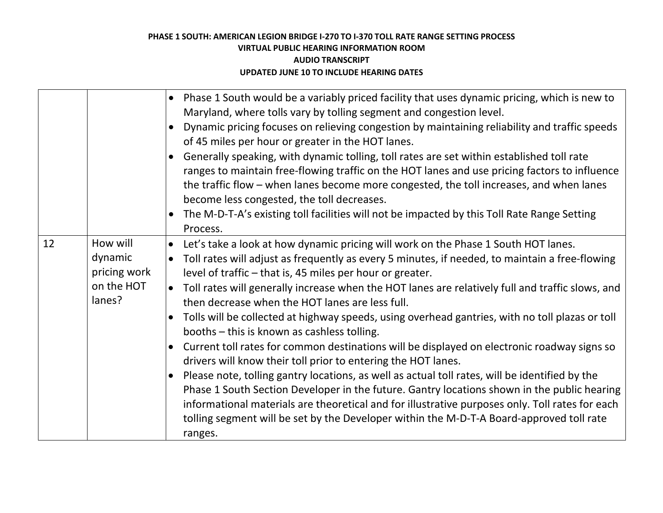|                                                             | Phase 1 South would be a variably priced facility that uses dynamic pricing, which is new to<br>$\bullet$<br>Maryland, where tolls vary by tolling segment and congestion level.                                                                                                                                                                                                                                                                                                                                                                                                                                                                                                                                                                                                                                                                                                                                                                                                             |
|-------------------------------------------------------------|----------------------------------------------------------------------------------------------------------------------------------------------------------------------------------------------------------------------------------------------------------------------------------------------------------------------------------------------------------------------------------------------------------------------------------------------------------------------------------------------------------------------------------------------------------------------------------------------------------------------------------------------------------------------------------------------------------------------------------------------------------------------------------------------------------------------------------------------------------------------------------------------------------------------------------------------------------------------------------------------|
|                                                             | Dynamic pricing focuses on relieving congestion by maintaining reliability and traffic speeds<br>$\bullet$<br>of 45 miles per hour or greater in the HOT lanes.                                                                                                                                                                                                                                                                                                                                                                                                                                                                                                                                                                                                                                                                                                                                                                                                                              |
|                                                             | Generally speaking, with dynamic tolling, toll rates are set within established toll rate<br>ranges to maintain free-flowing traffic on the HOT lanes and use pricing factors to influence<br>the traffic flow - when lanes become more congested, the toll increases, and when lanes<br>become less congested, the toll decreases.<br>The M-D-T-A's existing toll facilities will not be impacted by this Toll Rate Range Setting<br>Process.                                                                                                                                                                                                                                                                                                                                                                                                                                                                                                                                               |
| How will<br>dynamic<br>pricing work<br>on the HOT<br>lanes? | Let's take a look at how dynamic pricing will work on the Phase 1 South HOT lanes.<br>$\bullet$<br>Toll rates will adjust as frequently as every 5 minutes, if needed, to maintain a free-flowing<br>$\bullet$<br>level of traffic – that is, 45 miles per hour or greater.<br>Toll rates will generally increase when the HOT lanes are relatively full and traffic slows, and<br>$\bullet$<br>then decrease when the HOT lanes are less full.<br>Tolls will be collected at highway speeds, using overhead gantries, with no toll plazas or toll<br>$\bullet$<br>booths - this is known as cashless tolling.<br>Current toll rates for common destinations will be displayed on electronic roadway signs so<br>$\bullet$<br>drivers will know their toll prior to entering the HOT lanes.<br>Please note, tolling gantry locations, as well as actual toll rates, will be identified by the<br>Phase 1 South Section Developer in the future. Gantry locations shown in the public hearing |
|                                                             | informational materials are theoretical and for illustrative purposes only. Toll rates for each<br>tolling segment will be set by the Developer within the M-D-T-A Board-approved toll rate                                                                                                                                                                                                                                                                                                                                                                                                                                                                                                                                                                                                                                                                                                                                                                                                  |
|                                                             |                                                                                                                                                                                                                                                                                                                                                                                                                                                                                                                                                                                                                                                                                                                                                                                                                                                                                                                                                                                              |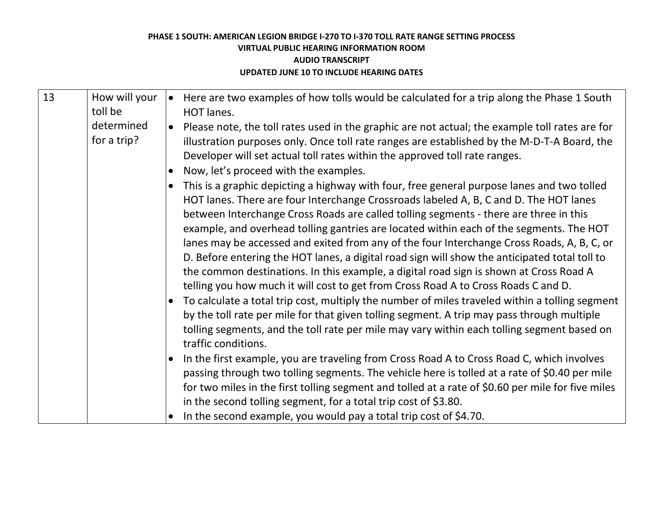| 13 | How will your<br>toll be  | Here are two examples of how tolls would be calculated for a trip along the Phase 1 South<br>$\bullet$<br>HOT lanes.                                                                                                                                                                                                                                                                                                                                                                                                                                                                                                                                                                                                                                                                                                                                                                                                                                                                                                                                                                                  |
|----|---------------------------|-------------------------------------------------------------------------------------------------------------------------------------------------------------------------------------------------------------------------------------------------------------------------------------------------------------------------------------------------------------------------------------------------------------------------------------------------------------------------------------------------------------------------------------------------------------------------------------------------------------------------------------------------------------------------------------------------------------------------------------------------------------------------------------------------------------------------------------------------------------------------------------------------------------------------------------------------------------------------------------------------------------------------------------------------------------------------------------------------------|
|    | determined<br>for a trip? | Please note, the toll rates used in the graphic are not actual; the example toll rates are for<br>$\bullet$<br>illustration purposes only. Once toll rate ranges are established by the M-D-T-A Board, the<br>Developer will set actual toll rates within the approved toll rate ranges.                                                                                                                                                                                                                                                                                                                                                                                                                                                                                                                                                                                                                                                                                                                                                                                                              |
|    |                           | Now, let's proceed with the examples.<br>$\bullet$                                                                                                                                                                                                                                                                                                                                                                                                                                                                                                                                                                                                                                                                                                                                                                                                                                                                                                                                                                                                                                                    |
|    |                           | This is a graphic depicting a highway with four, free general purpose lanes and two tolled<br>$\bullet$<br>HOT lanes. There are four Interchange Crossroads labeled A, B, C and D. The HOT lanes<br>between Interchange Cross Roads are called tolling segments - there are three in this<br>example, and overhead tolling gantries are located within each of the segments. The HOT<br>lanes may be accessed and exited from any of the four Interchange Cross Roads, A, B, C, or<br>D. Before entering the HOT lanes, a digital road sign will show the anticipated total toll to<br>the common destinations. In this example, a digital road sign is shown at Cross Road A<br>telling you how much it will cost to get from Cross Road A to Cross Roads C and D.<br>To calculate a total trip cost, multiply the number of miles traveled within a tolling segment<br>$\bullet$<br>by the toll rate per mile for that given tolling segment. A trip may pass through multiple<br>tolling segments, and the toll rate per mile may vary within each tolling segment based on<br>traffic conditions. |
|    |                           | In the first example, you are traveling from Cross Road A to Cross Road C, which involves<br>$\bullet$<br>passing through two tolling segments. The vehicle here is tolled at a rate of \$0.40 per mile<br>for two miles in the first tolling segment and tolled at a rate of \$0.60 per mile for five miles<br>in the second tolling segment, for a total trip cost of \$3.80.                                                                                                                                                                                                                                                                                                                                                                                                                                                                                                                                                                                                                                                                                                                       |
|    |                           | In the second example, you would pay a total trip cost of \$4.70.                                                                                                                                                                                                                                                                                                                                                                                                                                                                                                                                                                                                                                                                                                                                                                                                                                                                                                                                                                                                                                     |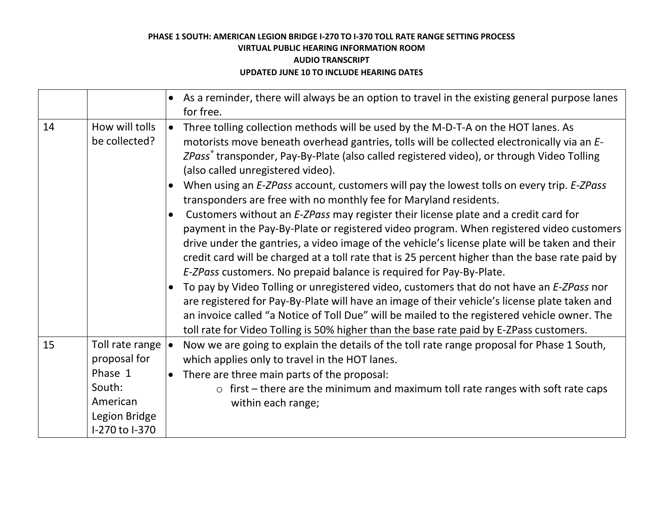|    |                                                                                                     | As a reminder, there will always be an option to travel in the existing general purpose lanes<br>for free.                                                                                                                                                                                                                                                                                                                                                                                                                                                                                                                                                                                                                                                                                                                                                                                                                                                                                                                                                                                                                                                                                                                                                                                                                                                                        |
|----|-----------------------------------------------------------------------------------------------------|-----------------------------------------------------------------------------------------------------------------------------------------------------------------------------------------------------------------------------------------------------------------------------------------------------------------------------------------------------------------------------------------------------------------------------------------------------------------------------------------------------------------------------------------------------------------------------------------------------------------------------------------------------------------------------------------------------------------------------------------------------------------------------------------------------------------------------------------------------------------------------------------------------------------------------------------------------------------------------------------------------------------------------------------------------------------------------------------------------------------------------------------------------------------------------------------------------------------------------------------------------------------------------------------------------------------------------------------------------------------------------------|
| 14 | How will tolls<br>be collected?                                                                     | Three tolling collection methods will be used by the M-D-T-A on the HOT lanes. As<br>$\bullet$<br>motorists move beneath overhead gantries, tolls will be collected electronically via an E-<br>ZPass® transponder, Pay-By-Plate (also called registered video), or through Video Tolling<br>(also called unregistered video).<br>When using an E-ZPass account, customers will pay the lowest tolls on every trip. E-ZPass<br>$\bullet$<br>transponders are free with no monthly fee for Maryland residents.<br>Customers without an E-ZPass may register their license plate and a credit card for<br>payment in the Pay-By-Plate or registered video program. When registered video customers<br>drive under the gantries, a video image of the vehicle's license plate will be taken and their<br>credit card will be charged at a toll rate that is 25 percent higher than the base rate paid by<br>E-ZPass customers. No prepaid balance is required for Pay-By-Plate.<br>To pay by Video Tolling or unregistered video, customers that do not have an E-ZPass nor<br>$\bullet$<br>are registered for Pay-By-Plate will have an image of their vehicle's license plate taken and<br>an invoice called "a Notice of Toll Due" will be mailed to the registered vehicle owner. The<br>toll rate for Video Tolling is 50% higher than the base rate paid by E-ZPass customers. |
| 15 | Toll rate range<br>proposal for<br>Phase 1<br>South:<br>American<br>Legion Bridge<br>I-270 to I-370 | Now we are going to explain the details of the toll rate range proposal for Phase 1 South,<br>$\bullet$<br>which applies only to travel in the HOT lanes.<br>There are three main parts of the proposal:<br>$\bullet$<br>$\circ$ first – there are the minimum and maximum toll rate ranges with soft rate caps<br>within each range;                                                                                                                                                                                                                                                                                                                                                                                                                                                                                                                                                                                                                                                                                                                                                                                                                                                                                                                                                                                                                                             |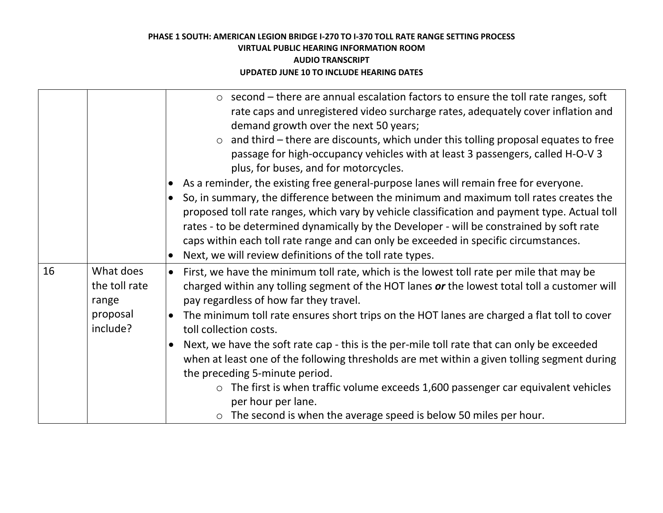|    |                                                             | $\circ$ second – there are annual escalation factors to ensure the toll rate ranges, soft<br>rate caps and unregistered video surcharge rates, adequately cover inflation and<br>demand growth over the next 50 years;<br>and third – there are discounts, which under this tolling proposal equates to free<br>$\circ$<br>passage for high-occupancy vehicles with at least 3 passengers, called H-O-V 3<br>plus, for buses, and for motorcycles.<br>As a reminder, the existing free general-purpose lanes will remain free for everyone.<br>So, in summary, the difference between the minimum and maximum toll rates creates the<br>proposed toll rate ranges, which vary by vehicle classification and payment type. Actual toll<br>rates - to be determined dynamically by the Developer - will be constrained by soft rate<br>caps within each toll rate range and can only be exceeded in specific circumstances.<br>Next, we will review definitions of the toll rate types. |
|----|-------------------------------------------------------------|---------------------------------------------------------------------------------------------------------------------------------------------------------------------------------------------------------------------------------------------------------------------------------------------------------------------------------------------------------------------------------------------------------------------------------------------------------------------------------------------------------------------------------------------------------------------------------------------------------------------------------------------------------------------------------------------------------------------------------------------------------------------------------------------------------------------------------------------------------------------------------------------------------------------------------------------------------------------------------------|
| 16 | What does<br>the toll rate<br>range<br>proposal<br>include? | First, we have the minimum toll rate, which is the lowest toll rate per mile that may be<br>$\bullet$<br>charged within any tolling segment of the HOT lanes or the lowest total toll a customer will<br>pay regardless of how far they travel.<br>The minimum toll rate ensures short trips on the HOT lanes are charged a flat toll to cover<br>$\bullet$<br>toll collection costs.<br>Next, we have the soft rate cap - this is the per-mile toll rate that can only be exceeded<br>when at least one of the following thresholds are met within a given tolling segment during<br>the preceding 5-minute period.<br>The first is when traffic volume exceeds 1,600 passenger car equivalent vehicles<br>$\circ$<br>per hour per lane.<br>$\circ$ The second is when the average speed is below 50 miles per hour.                                                                                                                                                                 |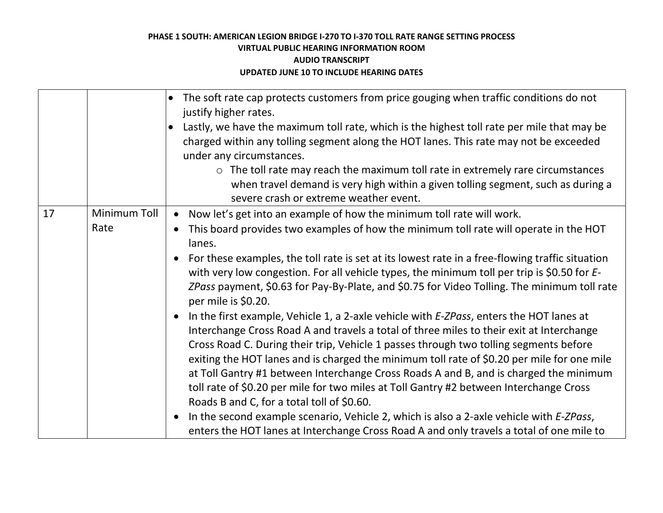|    |              | The soft rate cap protects customers from price gouging when traffic conditions do not<br>$\bullet$<br>justify higher rates.                                                                                                                                                                                                                                                                                                                                                                                                                                                                                                     |
|----|--------------|----------------------------------------------------------------------------------------------------------------------------------------------------------------------------------------------------------------------------------------------------------------------------------------------------------------------------------------------------------------------------------------------------------------------------------------------------------------------------------------------------------------------------------------------------------------------------------------------------------------------------------|
|    |              | Lastly, we have the maximum toll rate, which is the highest toll rate per mile that may be                                                                                                                                                                                                                                                                                                                                                                                                                                                                                                                                       |
|    |              | charged within any tolling segment along the HOT lanes. This rate may not be exceeded                                                                                                                                                                                                                                                                                                                                                                                                                                                                                                                                            |
|    |              | under any circumstances.                                                                                                                                                                                                                                                                                                                                                                                                                                                                                                                                                                                                         |
|    |              | $\circ$ The toll rate may reach the maximum toll rate in extremely rare circumstances                                                                                                                                                                                                                                                                                                                                                                                                                                                                                                                                            |
|    |              | when travel demand is very high within a given tolling segment, such as during a<br>severe crash or extreme weather event.                                                                                                                                                                                                                                                                                                                                                                                                                                                                                                       |
| 17 | Minimum Toll | Now let's get into an example of how the minimum toll rate will work.<br>$\bullet$                                                                                                                                                                                                                                                                                                                                                                                                                                                                                                                                               |
|    | Rate         | This board provides two examples of how the minimum toll rate will operate in the HOT<br>$\bullet$                                                                                                                                                                                                                                                                                                                                                                                                                                                                                                                               |
|    |              | lanes.                                                                                                                                                                                                                                                                                                                                                                                                                                                                                                                                                                                                                           |
|    |              | For these examples, the toll rate is set at its lowest rate in a free-flowing traffic situation<br>$\bullet$<br>with very low congestion. For all vehicle types, the minimum toll per trip is \$0.50 for E-<br>ZPass payment, \$0.63 for Pay-By-Plate, and \$0.75 for Video Tolling. The minimum toll rate<br>per mile is \$0.20.                                                                                                                                                                                                                                                                                                |
|    |              | In the first example, Vehicle 1, a 2-axle vehicle with <i>E-ZPass</i> , enters the HOT lanes at<br>$\bullet$<br>Interchange Cross Road A and travels a total of three miles to their exit at Interchange<br>Cross Road C. During their trip, Vehicle 1 passes through two tolling segments before<br>exiting the HOT lanes and is charged the minimum toll rate of \$0.20 per mile for one mile<br>at Toll Gantry #1 between Interchange Cross Roads A and B, and is charged the minimum<br>toll rate of \$0.20 per mile for two miles at Toll Gantry #2 between Interchange Cross<br>Roads B and C, for a total toll of \$0.60. |
|    |              | In the second example scenario, Vehicle 2, which is also a 2-axle vehicle with <i>E-ZPass</i> ,<br>$\bullet$<br>enters the HOT lanes at Interchange Cross Road A and only travels a total of one mile to                                                                                                                                                                                                                                                                                                                                                                                                                         |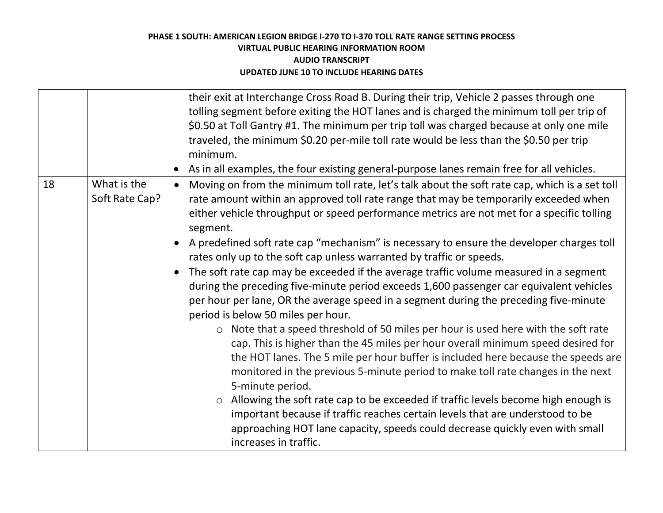| their exit at Interchange Cross Road B. During their trip, Vehicle 2 passes through one<br>tolling segment before exiting the HOT lanes and is charged the minimum toll per trip of                                                                                                                                                                                                                                                                                                                                                                                                                                                                                                                                                                                                                                                                                                                                                                                                                                                                                                                                                                                                                                                                                                                                                                                                                                                                                                                                                 |  |
|-------------------------------------------------------------------------------------------------------------------------------------------------------------------------------------------------------------------------------------------------------------------------------------------------------------------------------------------------------------------------------------------------------------------------------------------------------------------------------------------------------------------------------------------------------------------------------------------------------------------------------------------------------------------------------------------------------------------------------------------------------------------------------------------------------------------------------------------------------------------------------------------------------------------------------------------------------------------------------------------------------------------------------------------------------------------------------------------------------------------------------------------------------------------------------------------------------------------------------------------------------------------------------------------------------------------------------------------------------------------------------------------------------------------------------------------------------------------------------------------------------------------------------------|--|
| \$0.50 at Toll Gantry #1. The minimum per trip toll was charged because at only one mile<br>traveled, the minimum \$0.20 per-mile toll rate would be less than the \$0.50 per trip<br>minimum.<br>As in all examples, the four existing general-purpose lanes remain free for all vehicles.<br>$\bullet$                                                                                                                                                                                                                                                                                                                                                                                                                                                                                                                                                                                                                                                                                                                                                                                                                                                                                                                                                                                                                                                                                                                                                                                                                            |  |
| 18<br>What is the<br>Moving on from the minimum toll rate, let's talk about the soft rate cap, which is a set toll<br>$\bullet$<br>Soft Rate Cap?<br>rate amount within an approved toll rate range that may be temporarily exceeded when<br>either vehicle throughput or speed performance metrics are not met for a specific tolling<br>segment.<br>A predefined soft rate cap "mechanism" is necessary to ensure the developer charges toll<br>$\bullet$<br>rates only up to the soft cap unless warranted by traffic or speeds.<br>The soft rate cap may be exceeded if the average traffic volume measured in a segment<br>$\bullet$<br>during the preceding five-minute period exceeds 1,600 passenger car equivalent vehicles<br>per hour per lane, OR the average speed in a segment during the preceding five-minute<br>period is below 50 miles per hour.<br>o Note that a speed threshold of 50 miles per hour is used here with the soft rate<br>cap. This is higher than the 45 miles per hour overall minimum speed desired for<br>the HOT lanes. The 5 mile per hour buffer is included here because the speeds are<br>monitored in the previous 5-minute period to make toll rate changes in the next<br>5-minute period.<br>Allowing the soft rate cap to be exceeded if traffic levels become high enough is<br>$\circ$<br>important because if traffic reaches certain levels that are understood to be<br>approaching HOT lane capacity, speeds could decrease quickly even with small<br>increases in traffic. |  |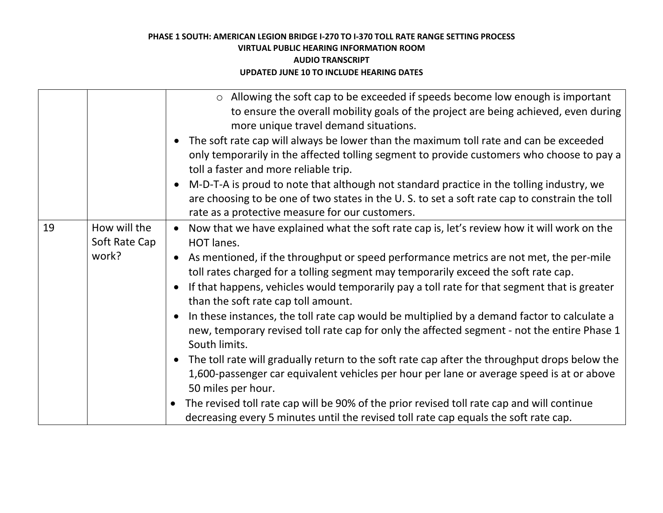|                                              | $\circ$ Allowing the soft cap to be exceeded if speeds become low enough is important<br>to ensure the overall mobility goals of the project are being achieved, even during<br>more unique travel demand situations.<br>The soft rate cap will always be lower than the maximum toll rate and can be exceeded<br>$\bullet$<br>only temporarily in the affected tolling segment to provide customers who choose to pay a<br>toll a faster and more reliable trip.                                                                                                                                                                                                                                                                                                                                                                                                                                                                                                                                                                                                                                                         |
|----------------------------------------------|---------------------------------------------------------------------------------------------------------------------------------------------------------------------------------------------------------------------------------------------------------------------------------------------------------------------------------------------------------------------------------------------------------------------------------------------------------------------------------------------------------------------------------------------------------------------------------------------------------------------------------------------------------------------------------------------------------------------------------------------------------------------------------------------------------------------------------------------------------------------------------------------------------------------------------------------------------------------------------------------------------------------------------------------------------------------------------------------------------------------------|
|                                              | M-D-T-A is proud to note that although not standard practice in the tolling industry, we<br>$\bullet$<br>are choosing to be one of two states in the U.S. to set a soft rate cap to constrain the toll<br>rate as a protective measure for our customers.                                                                                                                                                                                                                                                                                                                                                                                                                                                                                                                                                                                                                                                                                                                                                                                                                                                                 |
| 19<br>How will the<br>Soft Rate Cap<br>work? | Now that we have explained what the soft rate cap is, let's review how it will work on the<br>$\bullet$<br>HOT lanes.<br>As mentioned, if the throughput or speed performance metrics are not met, the per-mile<br>$\bullet$<br>toll rates charged for a tolling segment may temporarily exceed the soft rate cap.<br>If that happens, vehicles would temporarily pay a toll rate for that segment that is greater<br>$\bullet$<br>than the soft rate cap toll amount.<br>In these instances, the toll rate cap would be multiplied by a demand factor to calculate a<br>$\bullet$<br>new, temporary revised toll rate cap for only the affected segment - not the entire Phase 1<br>South limits.<br>The toll rate will gradually return to the soft rate cap after the throughput drops below the<br>$\bullet$<br>1,600-passenger car equivalent vehicles per hour per lane or average speed is at or above<br>50 miles per hour.<br>The revised toll rate cap will be 90% of the prior revised toll rate cap and will continue<br>decreasing every 5 minutes until the revised toll rate cap equals the soft rate cap. |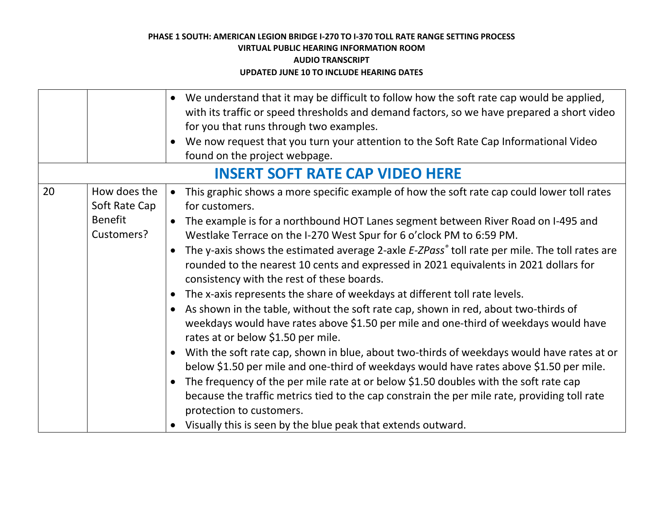|    |                                                               | We understand that it may be difficult to follow how the soft rate cap would be applied,<br>$\bullet$<br>with its traffic or speed thresholds and demand factors, so we have prepared a short video<br>for you that runs through two examples.<br>• We now request that you turn your attention to the Soft Rate Cap Informational Video<br>found on the project webpage.                                                                                                                                                                                                                                                                                                                                                                                                                                                                                                                                                                                                                                                                                                                                                                                                                                                                                                                                                                                  |
|----|---------------------------------------------------------------|------------------------------------------------------------------------------------------------------------------------------------------------------------------------------------------------------------------------------------------------------------------------------------------------------------------------------------------------------------------------------------------------------------------------------------------------------------------------------------------------------------------------------------------------------------------------------------------------------------------------------------------------------------------------------------------------------------------------------------------------------------------------------------------------------------------------------------------------------------------------------------------------------------------------------------------------------------------------------------------------------------------------------------------------------------------------------------------------------------------------------------------------------------------------------------------------------------------------------------------------------------------------------------------------------------------------------------------------------------|
|    |                                                               | <b>INSERT SOFT RATE CAP VIDEO HERE</b>                                                                                                                                                                                                                                                                                                                                                                                                                                                                                                                                                                                                                                                                                                                                                                                                                                                                                                                                                                                                                                                                                                                                                                                                                                                                                                                     |
| 20 | How does the<br>Soft Rate Cap<br><b>Benefit</b><br>Customers? | • This graphic shows a more specific example of how the soft rate cap could lower toll rates<br>for customers.<br>• The example is for a northbound HOT Lanes segment between River Road on I-495 and<br>Westlake Terrace on the I-270 West Spur for 6 o'clock PM to 6:59 PM.<br>The y-axis shows the estimated average 2-axle E-ZPass <sup>®</sup> toll rate per mile. The toll rates are<br>$\bullet$<br>rounded to the nearest 10 cents and expressed in 2021 equivalents in 2021 dollars for<br>consistency with the rest of these boards.<br>The x-axis represents the share of weekdays at different toll rate levels.<br>$\bullet$<br>As shown in the table, without the soft rate cap, shown in red, about two-thirds of<br>weekdays would have rates above \$1.50 per mile and one-third of weekdays would have<br>rates at or below \$1.50 per mile.<br>With the soft rate cap, shown in blue, about two-thirds of weekdays would have rates at or<br>$\bullet$<br>below \$1.50 per mile and one-third of weekdays would have rates above \$1.50 per mile.<br>The frequency of the per mile rate at or below \$1.50 doubles with the soft rate cap<br>because the traffic metrics tied to the cap constrain the per mile rate, providing toll rate<br>protection to customers.<br>• Visually this is seen by the blue peak that extends outward. |
|    |                                                               |                                                                                                                                                                                                                                                                                                                                                                                                                                                                                                                                                                                                                                                                                                                                                                                                                                                                                                                                                                                                                                                                                                                                                                                                                                                                                                                                                            |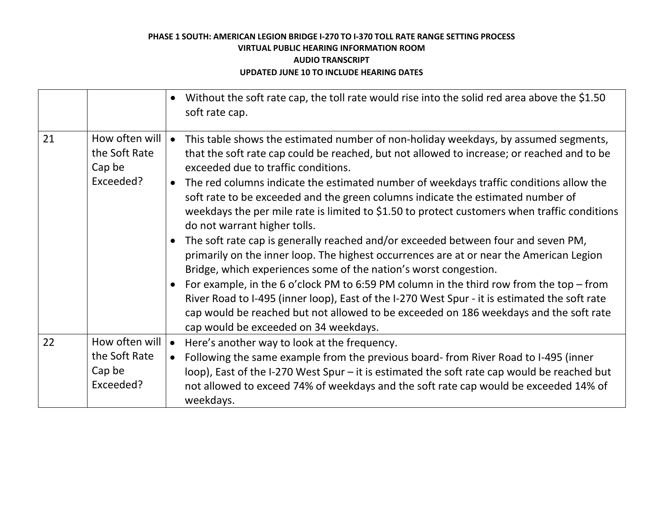|    |                                                        | Without the soft rate cap, the toll rate would rise into the solid red area above the \$1.50<br>soft rate cap.                                                                                                                                                                                                                                                                                                                                                                                                                                                                                                                                                                                                                                                                                           |
|----|--------------------------------------------------------|----------------------------------------------------------------------------------------------------------------------------------------------------------------------------------------------------------------------------------------------------------------------------------------------------------------------------------------------------------------------------------------------------------------------------------------------------------------------------------------------------------------------------------------------------------------------------------------------------------------------------------------------------------------------------------------------------------------------------------------------------------------------------------------------------------|
| 21 | How often will<br>the Soft Rate<br>Cap be<br>Exceeded? | This table shows the estimated number of non-holiday weekdays, by assumed segments,<br>$\bullet$<br>that the soft rate cap could be reached, but not allowed to increase; or reached and to be<br>exceeded due to traffic conditions.<br>• The red columns indicate the estimated number of weekdays traffic conditions allow the<br>soft rate to be exceeded and the green columns indicate the estimated number of<br>weekdays the per mile rate is limited to \$1.50 to protect customers when traffic conditions<br>do not warrant higher tolls.<br>The soft rate cap is generally reached and/or exceeded between four and seven PM,<br>primarily on the inner loop. The highest occurrences are at or near the American Legion<br>Bridge, which experiences some of the nation's worst congestion. |
|    |                                                        | For example, in the 6 o'clock PM to 6:59 PM column in the third row from the top $-$ from<br>River Road to I-495 (inner loop), East of the I-270 West Spur - it is estimated the soft rate<br>cap would be reached but not allowed to be exceeded on 186 weekdays and the soft rate<br>cap would be exceeded on 34 weekdays.                                                                                                                                                                                                                                                                                                                                                                                                                                                                             |
| 22 | How often will<br>the Soft Rate<br>Cap be<br>Exceeded? | Here's another way to look at the frequency.<br>Following the same example from the previous board-from River Road to I-495 (inner<br>loop), East of the I-270 West Spur – it is estimated the soft rate cap would be reached but<br>not allowed to exceed 74% of weekdays and the soft rate cap would be exceeded 14% of<br>weekdays.                                                                                                                                                                                                                                                                                                                                                                                                                                                                   |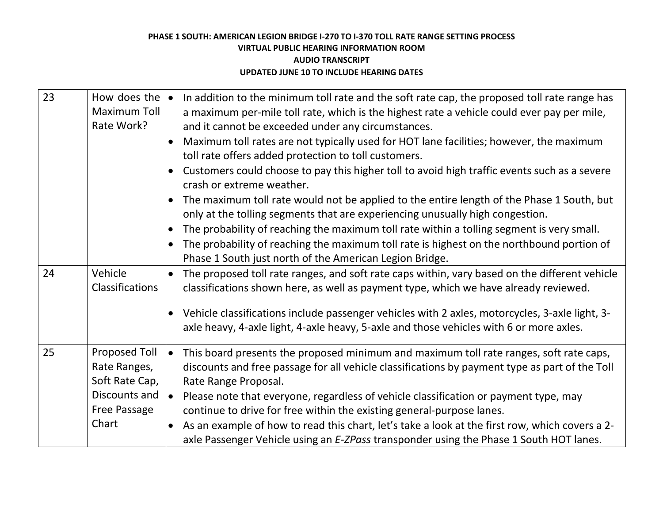| How does the $\vert \bullet \vert$<br><b>Maximum Toll</b><br>Rate Work?                                 | In addition to the minimum toll rate and the soft rate cap, the proposed toll rate range has<br>a maximum per-mile toll rate, which is the highest rate a vehicle could ever pay per mile,<br>and it cannot be exceeded under any circumstances.<br>Maximum toll rates are not typically used for HOT lane facilities; however, the maximum<br>toll rate offers added protection to toll customers.<br>Customers could choose to pay this higher toll to avoid high traffic events such as a severe<br>crash or extreme weather.<br>The maximum toll rate would not be applied to the entire length of the Phase 1 South, but<br>only at the tolling segments that are experiencing unusually high congestion.<br>The probability of reaching the maximum toll rate within a tolling segment is very small.<br>The probability of reaching the maximum toll rate is highest on the northbound portion of<br>Phase 1 South just north of the American Legion Bridge. |
|---------------------------------------------------------------------------------------------------------|---------------------------------------------------------------------------------------------------------------------------------------------------------------------------------------------------------------------------------------------------------------------------------------------------------------------------------------------------------------------------------------------------------------------------------------------------------------------------------------------------------------------------------------------------------------------------------------------------------------------------------------------------------------------------------------------------------------------------------------------------------------------------------------------------------------------------------------------------------------------------------------------------------------------------------------------------------------------|
| Vehicle<br>Classifications                                                                              | The proposed toll rate ranges, and soft rate caps within, vary based on the different vehicle<br>classifications shown here, as well as payment type, which we have already reviewed.<br>Vehicle classifications include passenger vehicles with 2 axles, motorcycles, 3-axle light, 3-<br>$\bullet$<br>axle heavy, 4-axle light, 4-axle heavy, 5-axle and those vehicles with 6 or more axles.                                                                                                                                                                                                                                                                                                                                                                                                                                                                                                                                                                     |
| <b>Proposed Toll</b><br>Rate Ranges,<br>Soft Rate Cap,<br>Discounts and<br><b>Free Passage</b><br>Chart | This board presents the proposed minimum and maximum toll rate ranges, soft rate caps,<br>discounts and free passage for all vehicle classifications by payment type as part of the Toll<br>Rate Range Proposal.<br>Please note that everyone, regardless of vehicle classification or payment type, may<br>$\bullet$<br>continue to drive for free within the existing general-purpose lanes.<br>As an example of how to read this chart, let's take a look at the first row, which covers a 2-<br>$\bullet$<br>axle Passenger Vehicle using an E-ZPass transponder using the Phase 1 South HOT lanes.                                                                                                                                                                                                                                                                                                                                                             |
|                                                                                                         |                                                                                                                                                                                                                                                                                                                                                                                                                                                                                                                                                                                                                                                                                                                                                                                                                                                                                                                                                                     |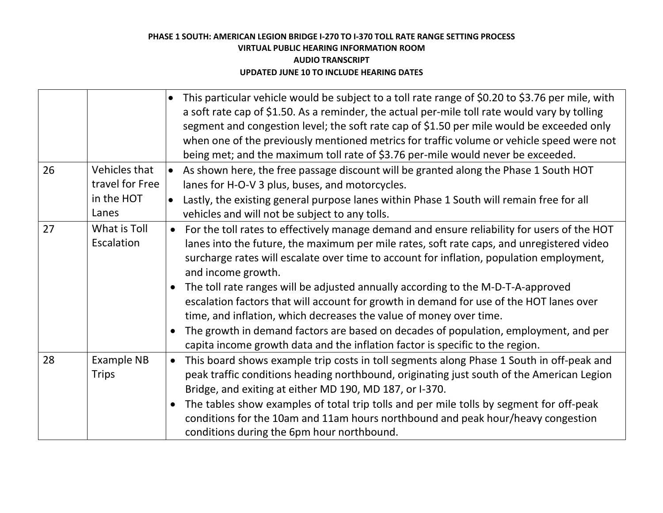|    |                                                         | This particular vehicle would be subject to a toll rate range of \$0.20 to \$3.76 per mile, with<br>a soft rate cap of \$1.50. As a reminder, the actual per-mile toll rate would vary by tolling<br>segment and congestion level; the soft rate cap of \$1.50 per mile would be exceeded only<br>when one of the previously mentioned metrics for traffic volume or vehicle speed were not<br>being met; and the maximum toll rate of \$3.76 per-mile would never be exceeded.                                                                                                                                                                                                                                                                                    |
|----|---------------------------------------------------------|--------------------------------------------------------------------------------------------------------------------------------------------------------------------------------------------------------------------------------------------------------------------------------------------------------------------------------------------------------------------------------------------------------------------------------------------------------------------------------------------------------------------------------------------------------------------------------------------------------------------------------------------------------------------------------------------------------------------------------------------------------------------|
| 26 | Vehicles that<br>travel for Free<br>in the HOT<br>Lanes | As shown here, the free passage discount will be granted along the Phase 1 South HOT<br>$\bullet$<br>lanes for H-O-V 3 plus, buses, and motorcycles.<br>Lastly, the existing general purpose lanes within Phase 1 South will remain free for all<br>$\bullet$<br>vehicles and will not be subject to any tolls.                                                                                                                                                                                                                                                                                                                                                                                                                                                    |
| 27 | What is Toll<br>Escalation                              | For the toll rates to effectively manage demand and ensure reliability for users of the HOT<br>$\bullet$<br>lanes into the future, the maximum per mile rates, soft rate caps, and unregistered video<br>surcharge rates will escalate over time to account for inflation, population employment,<br>and income growth.<br>The toll rate ranges will be adjusted annually according to the M-D-T-A-approved<br>escalation factors that will account for growth in demand for use of the HOT lanes over<br>time, and inflation, which decreases the value of money over time.<br>The growth in demand factors are based on decades of population, employment, and per<br>$\bullet$<br>capita income growth data and the inflation factor is specific to the region. |
| 28 | <b>Example NB</b><br><b>Trips</b>                       | This board shows example trip costs in toll segments along Phase 1 South in off-peak and<br>$\bullet$<br>peak traffic conditions heading northbound, originating just south of the American Legion<br>Bridge, and exiting at either MD 190, MD 187, or I-370.<br>The tables show examples of total trip tolls and per mile tolls by segment for off-peak<br>conditions for the 10am and 11am hours northbound and peak hour/heavy congestion<br>conditions during the 6pm hour northbound.                                                                                                                                                                                                                                                                         |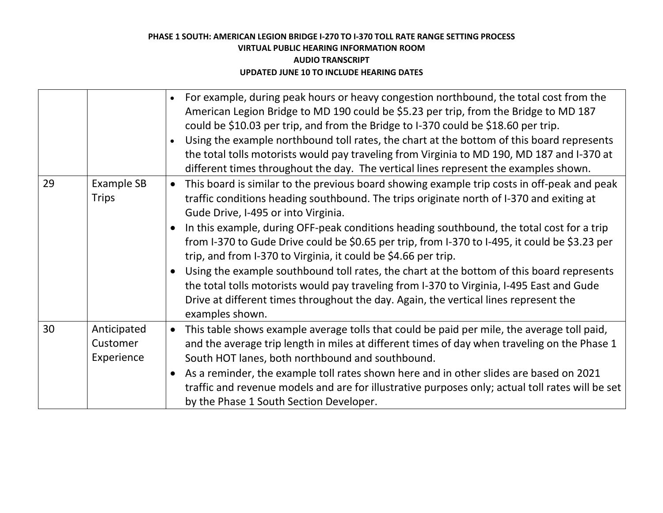|    |                                       | For example, during peak hours or heavy congestion northbound, the total cost from the<br>American Legion Bridge to MD 190 could be \$5.23 per trip, from the Bridge to MD 187<br>could be \$10.03 per trip, and from the Bridge to I-370 could be \$18.60 per trip.<br>Using the example northbound toll rates, the chart at the bottom of this board represents<br>the total tolls motorists would pay traveling from Virginia to MD 190, MD 187 and I-370 at<br>different times throughout the day. The vertical lines represent the examples shown.                                                                                                                                                                                                                                                           |
|----|---------------------------------------|-------------------------------------------------------------------------------------------------------------------------------------------------------------------------------------------------------------------------------------------------------------------------------------------------------------------------------------------------------------------------------------------------------------------------------------------------------------------------------------------------------------------------------------------------------------------------------------------------------------------------------------------------------------------------------------------------------------------------------------------------------------------------------------------------------------------|
| 29 | <b>Example SB</b><br><b>Trips</b>     | This board is similar to the previous board showing example trip costs in off-peak and peak<br>$\bullet$<br>traffic conditions heading southbound. The trips originate north of I-370 and exiting at<br>Gude Drive, I-495 or into Virginia.<br>In this example, during OFF-peak conditions heading southbound, the total cost for a trip<br>from I-370 to Gude Drive could be \$0.65 per trip, from I-370 to I-495, it could be \$3.23 per<br>trip, and from I-370 to Virginia, it could be \$4.66 per trip.<br>Using the example southbound toll rates, the chart at the bottom of this board represents<br>the total tolls motorists would pay traveling from I-370 to Virginia, I-495 East and Gude<br>Drive at different times throughout the day. Again, the vertical lines represent the<br>examples shown. |
| 30 | Anticipated<br>Customer<br>Experience | This table shows example average tolls that could be paid per mile, the average toll paid,<br>$\bullet$<br>and the average trip length in miles at different times of day when traveling on the Phase 1<br>South HOT lanes, both northbound and southbound.<br>As a reminder, the example toll rates shown here and in other slides are based on 2021<br>traffic and revenue models and are for illustrative purposes only; actual toll rates will be set<br>by the Phase 1 South Section Developer.                                                                                                                                                                                                                                                                                                              |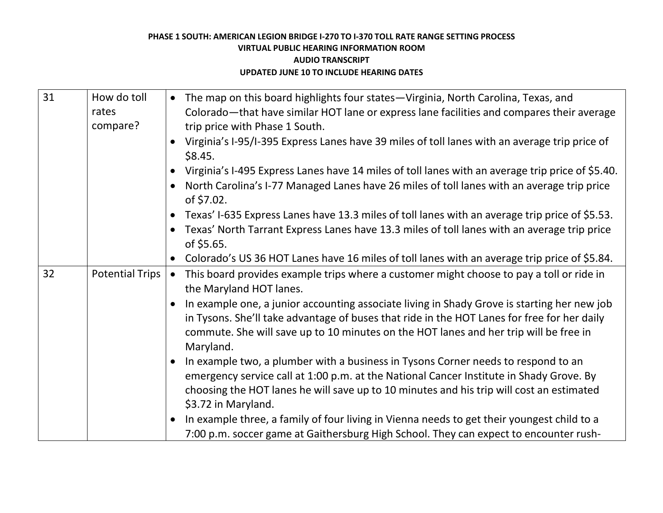| 31 | How do toll            | The map on this board highlights four states-Virginia, North Carolina, Texas, and                        |
|----|------------------------|----------------------------------------------------------------------------------------------------------|
|    | rates                  | Colorado—that have similar HOT lane or express lane facilities and compares their average                |
|    | compare?               | trip price with Phase 1 South.                                                                           |
|    |                        | Virginia's I-95/I-395 Express Lanes have 39 miles of toll lanes with an average trip price of<br>\$8.45. |
|    |                        |                                                                                                          |
|    |                        | Virginia's I-495 Express Lanes have 14 miles of toll lanes with an average trip price of \$5.40.         |
|    |                        | North Carolina's I-77 Managed Lanes have 26 miles of toll lanes with an average trip price<br>of \$7.02. |
|    |                        | Texas' I-635 Express Lanes have 13.3 miles of toll lanes with an average trip price of \$5.53.           |
|    |                        | Texas' North Tarrant Express Lanes have 13.3 miles of toll lanes with an average trip price              |
|    |                        | of \$5.65.                                                                                               |
|    |                        | Colorado's US 36 HOT Lanes have 16 miles of toll lanes with an average trip price of \$5.84.             |
| 32 | <b>Potential Trips</b> | This board provides example trips where a customer might choose to pay a toll or ride in<br>$\bullet$    |
|    |                        | the Maryland HOT lanes.                                                                                  |
|    |                        | In example one, a junior accounting associate living in Shady Grove is starting her new job              |
|    |                        | in Tysons. She'll take advantage of buses that ride in the HOT Lanes for free for her daily              |
|    |                        | commute. She will save up to 10 minutes on the HOT lanes and her trip will be free in                    |
|    |                        | Maryland.                                                                                                |
|    |                        | In example two, a plumber with a business in Tysons Corner needs to respond to an                        |
|    |                        | emergency service call at 1:00 p.m. at the National Cancer Institute in Shady Grove. By                  |
|    |                        | choosing the HOT lanes he will save up to 10 minutes and his trip will cost an estimated                 |
|    |                        | \$3.72 in Maryland.                                                                                      |
|    |                        | In example three, a family of four living in Vienna needs to get their youngest child to a               |
|    |                        | 7:00 p.m. soccer game at Gaithersburg High School. They can expect to encounter rush-                    |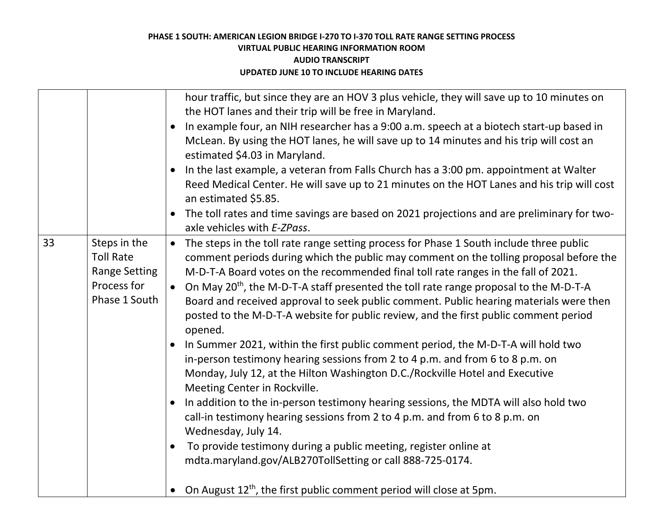|    |                                                                                          | hour traffic, but since they are an HOV 3 plus vehicle, they will save up to 10 minutes on<br>the HOT lanes and their trip will be free in Maryland.<br>In example four, an NIH researcher has a 9:00 a.m. speech at a biotech start-up based in<br>McLean. By using the HOT lanes, he will save up to 14 minutes and his trip will cost an<br>estimated \$4.03 in Maryland.<br>In the last example, a veteran from Falls Church has a 3:00 pm. appointment at Walter<br>Reed Medical Center. He will save up to 21 minutes on the HOT Lanes and his trip will cost<br>an estimated \$5.85.<br>The toll rates and time savings are based on 2021 projections and are preliminary for two-                                                                                                                                                                                                                                                                                                                                                                                                                                                                                                                                                                                                                                             |
|----|------------------------------------------------------------------------------------------|---------------------------------------------------------------------------------------------------------------------------------------------------------------------------------------------------------------------------------------------------------------------------------------------------------------------------------------------------------------------------------------------------------------------------------------------------------------------------------------------------------------------------------------------------------------------------------------------------------------------------------------------------------------------------------------------------------------------------------------------------------------------------------------------------------------------------------------------------------------------------------------------------------------------------------------------------------------------------------------------------------------------------------------------------------------------------------------------------------------------------------------------------------------------------------------------------------------------------------------------------------------------------------------------------------------------------------------|
|    |                                                                                          | axle vehicles with E-ZPass.                                                                                                                                                                                                                                                                                                                                                                                                                                                                                                                                                                                                                                                                                                                                                                                                                                                                                                                                                                                                                                                                                                                                                                                                                                                                                                           |
| 33 | Steps in the<br><b>Toll Rate</b><br><b>Range Setting</b><br>Process for<br>Phase 1 South | The steps in the toll rate range setting process for Phase 1 South include three public<br>$\bullet$<br>comment periods during which the public may comment on the tolling proposal before the<br>M-D-T-A Board votes on the recommended final toll rate ranges in the fall of 2021.<br>On May 20 <sup>th</sup> , the M-D-T-A staff presented the toll rate range proposal to the M-D-T-A<br>$\bullet$<br>Board and received approval to seek public comment. Public hearing materials were then<br>posted to the M-D-T-A website for public review, and the first public comment period<br>opened.<br>In Summer 2021, within the first public comment period, the M-D-T-A will hold two<br>in-person testimony hearing sessions from 2 to 4 p.m. and from 6 to 8 p.m. on<br>Monday, July 12, at the Hilton Washington D.C./Rockville Hotel and Executive<br>Meeting Center in Rockville.<br>In addition to the in-person testimony hearing sessions, the MDTA will also hold two<br>$\bullet$<br>call-in testimony hearing sessions from 2 to 4 p.m. and from 6 to 8 p.m. on<br>Wednesday, July 14.<br>To provide testimony during a public meeting, register online at<br>$\bullet$<br>mdta.maryland.gov/ALB270TollSetting or call 888-725-0174.<br>On August 12 <sup>th</sup> , the first public comment period will close at 5pm. |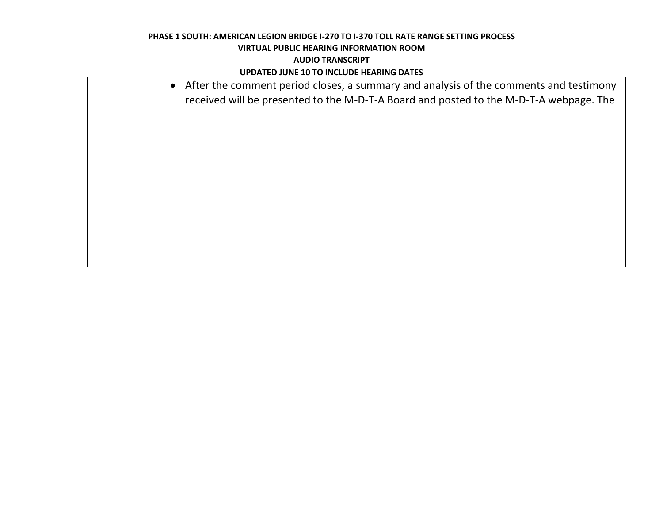# **PHASE 1 SOUTH: AMERICAN LEGION BRIDGE I-270 TO I-370 TOLL RATE RANGE SETTING PROCESS VIRTUAL PUBLIC HEARING INFORMATION ROOM**

#### **AUDIO TRANSCRIPT**

#### **UPDATED JUNE 10 TO INCLUDE HEARING DATES**

|  | After the comment period closes, a summary and analysis of the comments and testimony<br>$\bullet$<br>received will be presented to the M-D-T-A Board and posted to the M-D-T-A webpage. The |
|--|----------------------------------------------------------------------------------------------------------------------------------------------------------------------------------------------|
|  |                                                                                                                                                                                              |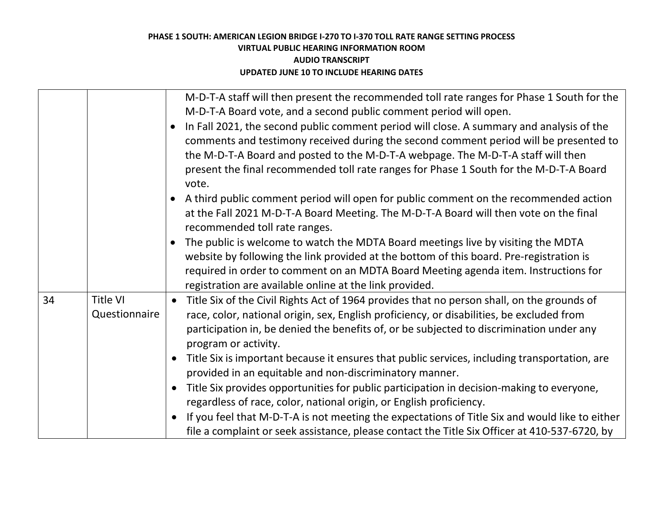|    |                           | M-D-T-A staff will then present the recommended toll rate ranges for Phase 1 South for the<br>M-D-T-A Board vote, and a second public comment period will open.<br>In Fall 2021, the second public comment period will close. A summary and analysis of the<br>comments and testimony received during the second comment period will be presented to<br>the M-D-T-A Board and posted to the M-D-T-A webpage. The M-D-T-A staff will then<br>present the final recommended toll rate ranges for Phase 1 South for the M-D-T-A Board<br>vote.<br>A third public comment period will open for public comment on the recommended action<br>at the Fall 2021 M-D-T-A Board Meeting. The M-D-T-A Board will then vote on the final<br>recommended toll rate ranges.<br>The public is welcome to watch the MDTA Board meetings live by visiting the MDTA<br>website by following the link provided at the bottom of this board. Pre-registration is<br>required in order to comment on an MDTA Board Meeting agenda item. Instructions for<br>registration are available online at the link provided. |
|----|---------------------------|------------------------------------------------------------------------------------------------------------------------------------------------------------------------------------------------------------------------------------------------------------------------------------------------------------------------------------------------------------------------------------------------------------------------------------------------------------------------------------------------------------------------------------------------------------------------------------------------------------------------------------------------------------------------------------------------------------------------------------------------------------------------------------------------------------------------------------------------------------------------------------------------------------------------------------------------------------------------------------------------------------------------------------------------------------------------------------------------|
| 34 | Title VI<br>Questionnaire | Title Six of the Civil Rights Act of 1964 provides that no person shall, on the grounds of<br>$\bullet$<br>race, color, national origin, sex, English proficiency, or disabilities, be excluded from<br>participation in, be denied the benefits of, or be subjected to discrimination under any<br>program or activity.<br>Title Six is important because it ensures that public services, including transportation, are<br>$\bullet$<br>provided in an equitable and non-discriminatory manner.<br>Title Six provides opportunities for public participation in decision-making to everyone,<br>$\bullet$<br>regardless of race, color, national origin, or English proficiency.<br>If you feel that M-D-T-A is not meeting the expectations of Title Six and would like to either<br>$\bullet$<br>file a complaint or seek assistance, please contact the Title Six Officer at 410-537-6720, by                                                                                                                                                                                             |